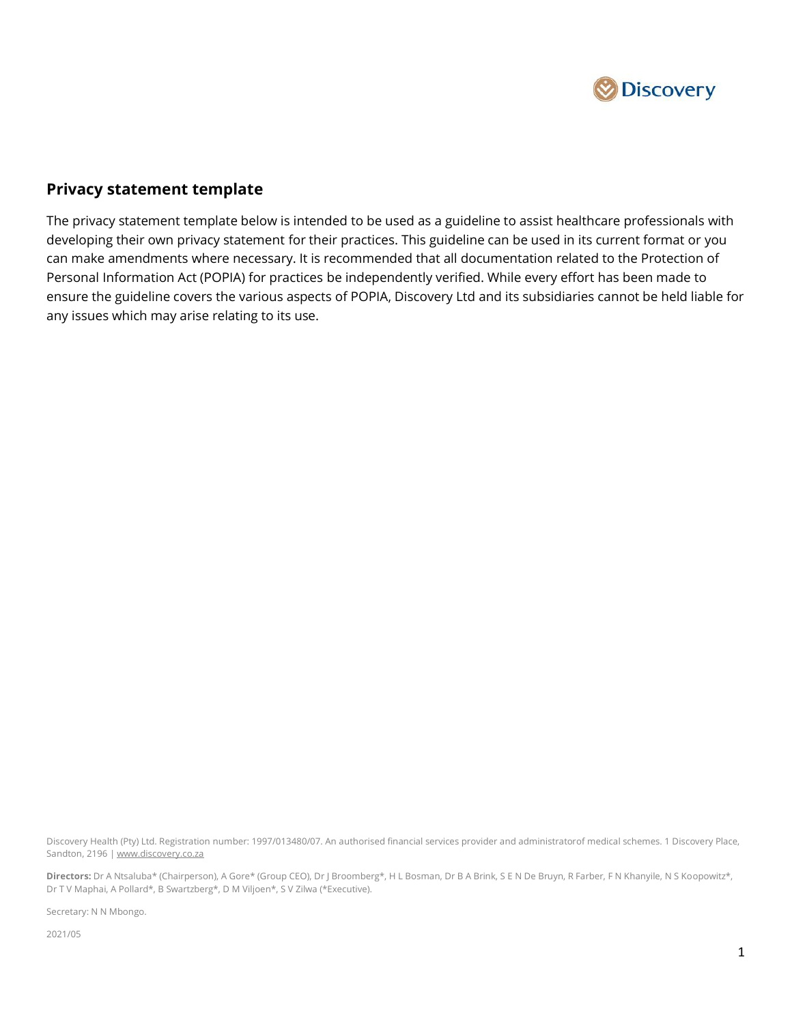

## **Privacy statement template**

The privacy statement template below is intended to be used as a guideline to assist healthcare professionals with developing their own privacy statement for their practices. This guideline can be used in its current format or you can make amendments where necessary. It is recommended that all documentation related to the Protection of Personal Information Act (POPIA) for practices be independently verified. While every effort has been made to ensure the guideline covers the various aspects of POPIA, Discovery Ltd and its subsidiaries cannot be held liable for any issues which may arise relating to its use.

Discovery Health (Pty) Ltd. Registration number: 1997/013480/07. An authorised financial services provider and administratorof medical schemes. 1 Discovery Place, Sandton, 2196 [| www.discovery.co.za](http://www.discovery.co.za/)

**Directors:** Dr A Ntsaluba\* (Chairperson), A Gore\* (Group CEO), Dr J Broomberg\*, H L Bosman, Dr B A Brink, S E N De Bruyn, R Farber, F N Khanyile, N S Koopowitz\*, Dr T V Maphai, A Pollard\*, B Swartzberg\*, D M Viljoen\*, S V Zilwa (\*Executive).

Secretary: N N Mbongo.

2021/05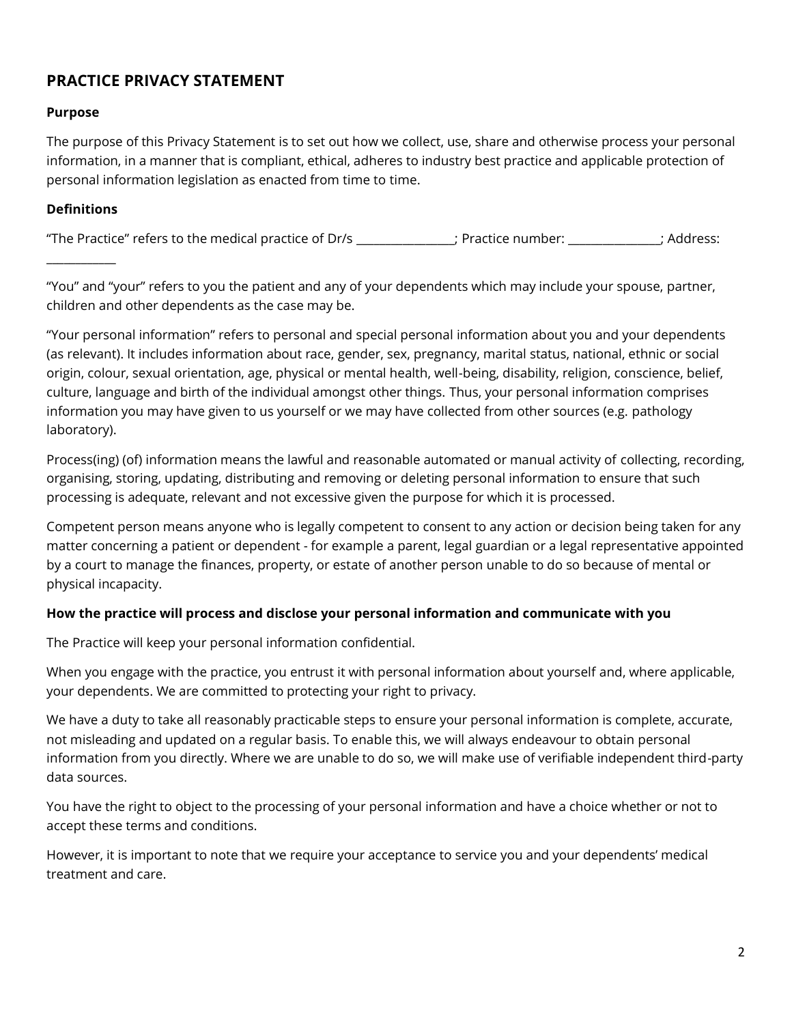# **PRACTICE PRIVACY STATEMENT**

#### **Purpose**

The purpose of this Privacy Statement is to set out how we collect, use, share and otherwise process your personal information, in a manner that is compliant, ethical, adheres to industry best practice and applicable protection of personal information legislation as enacted from time to time.

#### **Definitions**

 $\mathcal{L}=\mathcal{L}$ 

"The Practice" refers to the medical practice of Dr/s \_\_\_\_\_\_\_\_\_\_\_\_\_\_\_\_\_; Practice number: \_\_\_\_\_\_\_\_\_\_\_\_\_\_\_\_; Address:

"You" and "your" refers to you the patient and any of your dependents which may include your spouse, partner, children and other dependents as the case may be.

"Your personal information" refers to personal and special personal information about you and your dependents (as relevant). It includes information about race, gender, sex, pregnancy, marital status, national, ethnic or social origin, colour, sexual orientation, age, physical or mental health, well-being, disability, religion, conscience, belief, culture, language and birth of the individual amongst other things. Thus, your personal information comprises information you may have given to us yourself or we may have collected from other sources (e.g. pathology laboratory).

Process(ing) (of) information means the lawful and reasonable automated or manual activity of collecting, recording, organising, storing, updating, distributing and removing or deleting personal information to ensure that such processing is adequate, relevant and not excessive given the purpose for which it is processed.

Competent person means anyone who is legally competent to consent to any action or decision being taken for any matter concerning a patient or dependent - for example a parent, legal guardian or a legal representative appointed by a court to manage the finances, property, or estate of another person unable to do so because of mental or physical incapacity.

#### **How the practice will process and disclose your personal information and communicate with you**

The Practice will keep your personal information confidential.

When you engage with the practice, you entrust it with personal information about yourself and, where applicable, your dependents. We are committed to protecting your right to privacy.

We have a duty to take all reasonably practicable steps to ensure your personal information is complete, accurate, not misleading and updated on a regular basis. To enable this, we will always endeavour to obtain personal information from you directly. Where we are unable to do so, we will make use of verifiable independent third-party data sources.

You have the right to object to the processing of your personal information and have a choice whether or not to accept these terms and conditions.

However, it is important to note that we require your acceptance to service you and your dependents' medical treatment and care.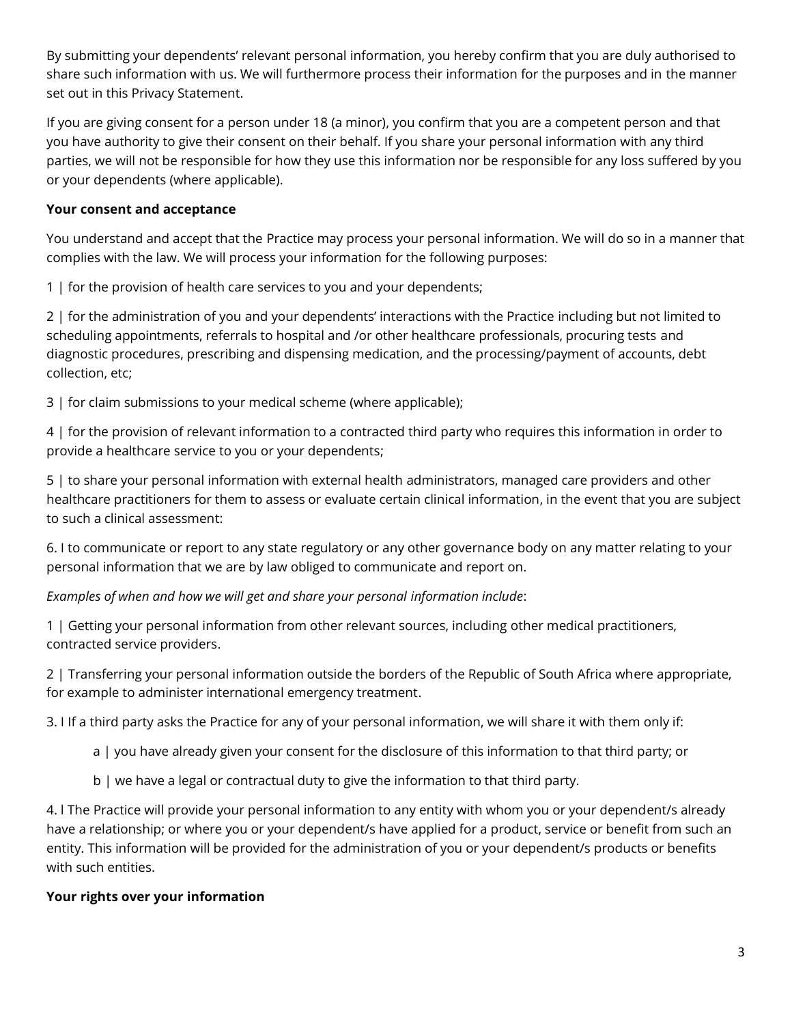By submitting your dependents' relevant personal information, you hereby confirm that you are duly authorised to share such information with us. We will furthermore process their information for the purposes and in the manner set out in this Privacy Statement.

If you are giving consent for a person under 18 (a minor), you confirm that you are a competent person and that you have authority to give their consent on their behalf. If you share your personal information with any third parties, we will not be responsible for how they use this information nor be responsible for any loss suffered by you or your dependents (where applicable).

### **Your consent and acceptance**

You understand and accept that the Practice may process your personal information. We will do so in a manner that complies with the law. We will process your information for the following purposes:

1 | for the provision of health care services to you and your dependents;

2 | for the administration of you and your dependents' interactions with the Practice including but not limited to scheduling appointments, referrals to hospital and /or other healthcare professionals, procuring tests and diagnostic procedures, prescribing and dispensing medication, and the processing/payment of accounts, debt collection, etc;

3 | for claim submissions to your medical scheme (where applicable);

4 | for the provision of relevant information to a contracted third party who requires this information in order to provide a healthcare service to you or your dependents;

5 | to share your personal information with external health administrators, managed care providers and other healthcare practitioners for them to assess or evaluate certain clinical information, in the event that you are subject to such a clinical assessment:

6. I to communicate or report to any state regulatory or any other governance body on any matter relating to your personal information that we are by law obliged to communicate and report on.

*Examples of when and how we will get and share your personal information include*:

1 | Getting your personal information from other relevant sources, including other medical practitioners, contracted service providers.

2 | Transferring your personal information outside the borders of the Republic of South Africa where appropriate, for example to administer international emergency treatment.

3. I If a third party asks the Practice for any of your personal information, we will share it with them only if:

- a | you have already given your consent for the disclosure of this information to that third party; or
- b | we have a legal or contractual duty to give the information to that third party.

4. l The Practice will provide your personal information to any entity with whom you or your dependent/s already have a relationship; or where you or your dependent/s have applied for a product, service or benefit from such an entity. This information will be provided for the administration of you or your dependent/s products or benefits with such entities.

## **Your rights over your information**